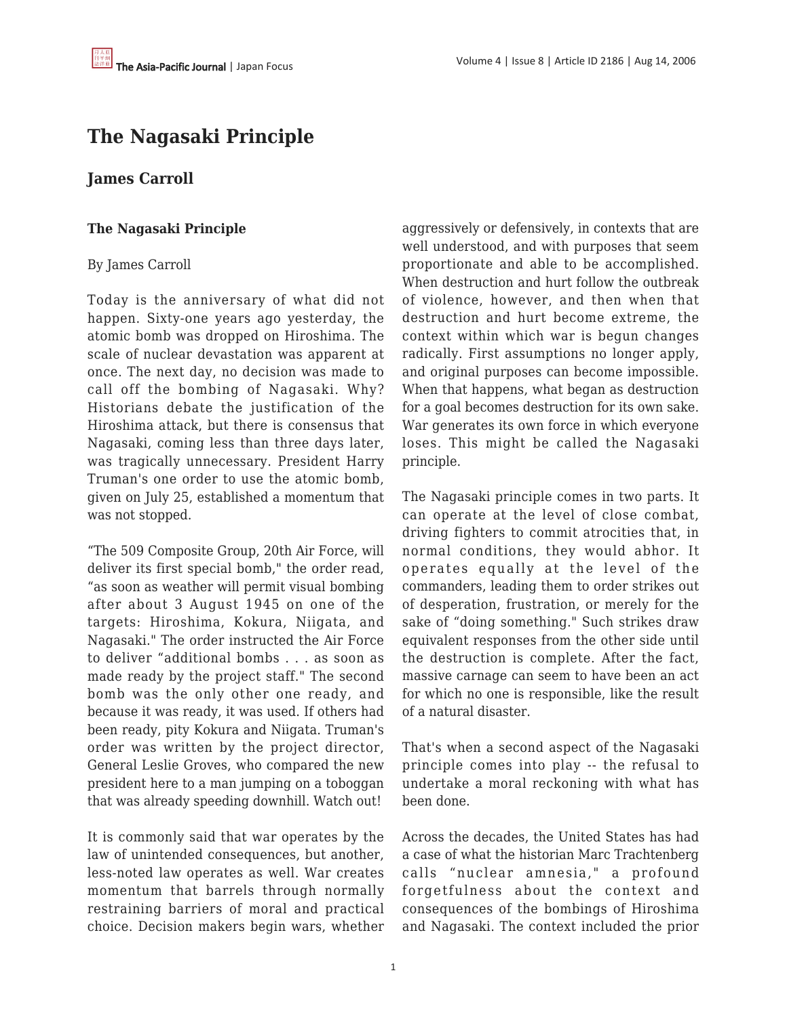## **The Nagasaki Principle**

## **James Carroll**

## **The Nagasaki Principle**

## By James Carroll

Today is the anniversary of what did not happen. Sixty-one years ago yesterday, the atomic bomb was dropped on Hiroshima. The scale of nuclear devastation was apparent at once. The next day, no decision was made to call off the bombing of Nagasaki. Why? Historians debate the justification of the Hiroshima attack, but there is consensus that Nagasaki, coming less than three days later, was tragically unnecessary. President Harry Truman's one order to use the atomic bomb, given on July 25, established a momentum that was not stopped.

"The 509 Composite Group, 20th Air Force, will deliver its first special bomb," the order read, "as soon as weather will permit visual bombing after about 3 August 1945 on one of the targets: Hiroshima, Kokura, Niigata, and Nagasaki." The order instructed the Air Force to deliver "additional bombs . . . as soon as made ready by the project staff." The second bomb was the only other one ready, and because it was ready, it was used. If others had been ready, pity Kokura and Niigata. Truman's order was written by the project director, General Leslie Groves, who compared the new president here to a man jumping on a toboggan that was already speeding downhill. Watch out!

It is commonly said that war operates by the law of unintended consequences, but another, less-noted law operates as well. War creates momentum that barrels through normally restraining barriers of moral and practical choice. Decision makers begin wars, whether aggressively or defensively, in contexts that are well understood, and with purposes that seem proportionate and able to be accomplished. When destruction and hurt follow the outbreak of violence, however, and then when that destruction and hurt become extreme, the context within which war is begun changes radically. First assumptions no longer apply, and original purposes can become impossible. When that happens, what began as destruction for a goal becomes destruction for its own sake. War generates its own force in which everyone loses. This might be called the Nagasaki principle.

The Nagasaki principle comes in two parts. It can operate at the level of close combat, driving fighters to commit atrocities that, in normal conditions, they would abhor. It operates equally at the level of the commanders, leading them to order strikes out of desperation, frustration, or merely for the sake of "doing something." Such strikes draw equivalent responses from the other side until the destruction is complete. After the fact, massive carnage can seem to have been an act for which no one is responsible, like the result of a natural disaster.

That's when a second aspect of the Nagasaki principle comes into play -- the refusal to undertake a moral reckoning with what has been done.

Across the decades, the United States has had a case of what the historian Marc Trachtenberg calls "nuclear amnesia," a profound forgetfulness about the context and consequences of the bombings of Hiroshima and Nagasaki. The context included the prior